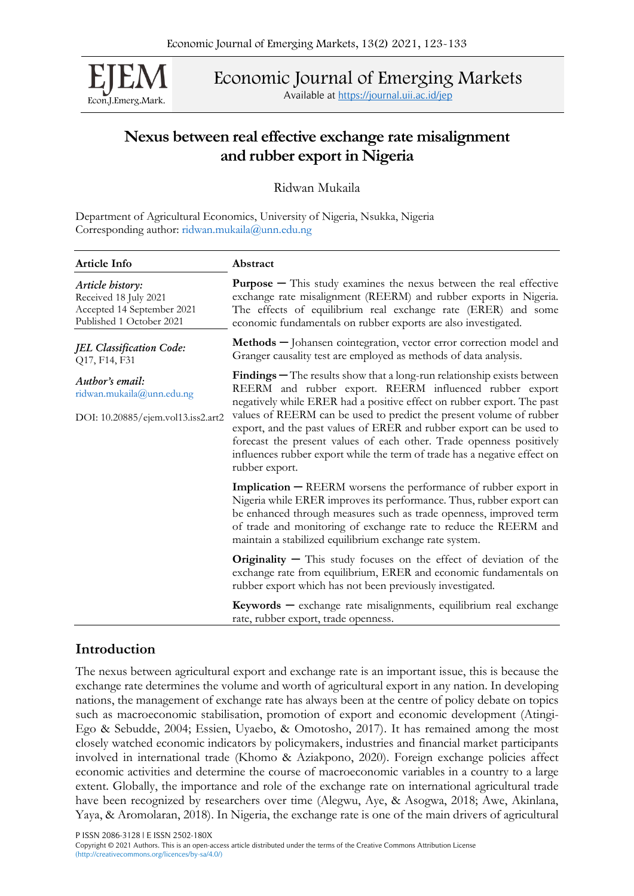Econ.J.Emerg.Mark.

Economic Journal of Emerging Markets

Available at <https://journal.uii.ac.id/jep>

# Nexus between real effective exchange rate misalignment and rubber export in Nigeria

Ridwan Mukaila

Department of Agricultural Economics, University of Nigeria, Nsukka, Nigeria Corresponding author: [ridwan.mukaila@unn.edu.ng](mailto:ridwan.mukaila@unn.edu.ng)

| Article Info                                                                                        | Abstract                                                                                                                                                                                                                                                                                                                                     |
|-----------------------------------------------------------------------------------------------------|----------------------------------------------------------------------------------------------------------------------------------------------------------------------------------------------------------------------------------------------------------------------------------------------------------------------------------------------|
| Article history:<br>Received 18 July 2021<br>Accepted 14 September 2021<br>Published 1 October 2021 | <b>Purpose</b> $-$ This study examines the nexus between the real effective<br>exchange rate misalignment (REERM) and rubber exports in Nigeria.<br>The effects of equilibrium real exchange rate (ERER) and some<br>economic fundamentals on rubber exports are also investigated.                                                          |
| <b>JEL Classification Code:</b><br>Q17, F14, F31                                                    | Methods - Johansen cointegration, vector error correction model and<br>Granger causality test are employed as methods of data analysis.                                                                                                                                                                                                      |
| Author's email:<br>ridwan.mukaila@unn.edu.ng                                                        | <b>Findings</b> $-$ The results show that a long-run relationship exists between<br>REERM and rubber export. REERM influenced rubber export<br>negatively while ERER had a positive effect on rubber export. The past                                                                                                                        |
| DOI: 10.20885/ejem.vol13.iss2.art2                                                                  | values of REERM can be used to predict the present volume of rubber<br>export, and the past values of ERER and rubber export can be used to<br>forecast the present values of each other. Trade openness positively<br>influences rubber export while the term of trade has a negative effect on<br>rubber export.                           |
|                                                                                                     | Implication - REERM worsens the performance of rubber export in<br>Nigeria while ERER improves its performance. Thus, rubber export can<br>be enhanced through measures such as trade openness, improved term<br>of trade and monitoring of exchange rate to reduce the REERM and<br>maintain a stabilized equilibrium exchange rate system. |
|                                                                                                     | <b>Originality</b> $-$ This study focuses on the effect of deviation of the<br>exchange rate from equilibrium, ERER and economic fundamentals on<br>rubber export which has not been previously investigated.                                                                                                                                |
|                                                                                                     | $Keywords - exchange$ rate misalignments, equilibrium real exchange<br>rate, rubber export, trade openness.                                                                                                                                                                                                                                  |

## Introduction

The nexus between agricultural export and exchange rate is an important issue, this is because the exchange rate determines the volume and worth of agricultural export in any nation. In developing nations, the management of exchange rate has always been at the centre of policy debate on topics such as macroeconomic stabilisation, promotion of export and economic development (Atingi-Ego & Sebudde, 2004; Essien, Uyaebo, & Omotosho, 2017). It has remained among the most closely watched economic indicators by policymakers, industries and financial market participants involved in international trade (Khomo & Aziakpono, 2020). Foreign exchange policies affect economic activities and determine the course of macroeconomic variables in a country to a large extent. Globally, the importance and role of the exchange rate on international agricultural trade have been recognized by researchers over time (Alegwu, Aye, & Asogwa, 2018; Awe, Akinlana, Yaya, & Aromolaran, 2018). In Nigeria, the exchange rate is one of the main drivers of agricultural

P ISSN 2086-3128 | E ISSN 2502-180X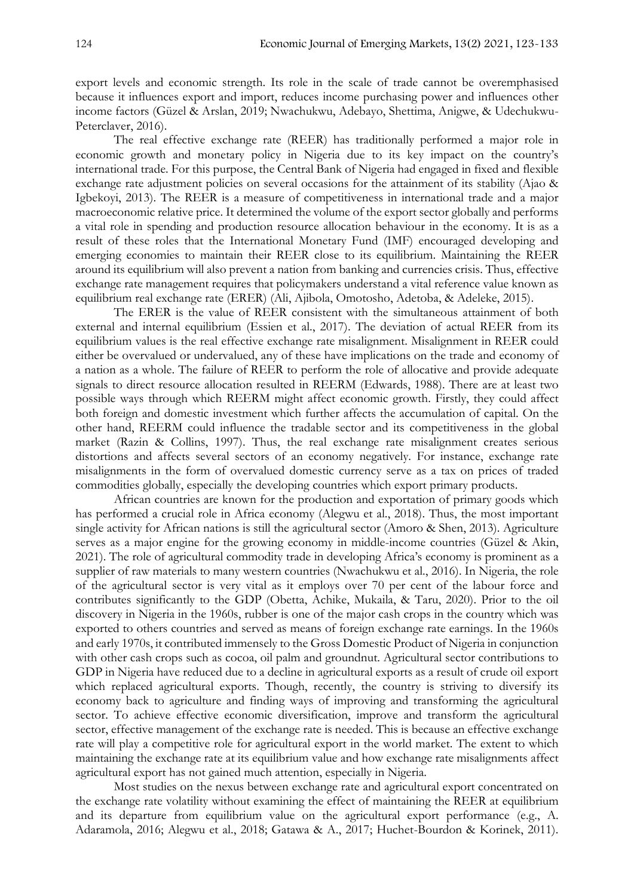export levels and economic strength. Its role in the scale of trade cannot be overemphasised because it influences export and import, reduces income purchasing power and influences other income factors (Güzel & Arslan, 2019; Nwachukwu, Adebayo, Shettima, Anigwe, & Udechukwu-Peterclaver, 2016).

The real effective exchange rate (REER) has traditionally performed a major role in economic growth and monetary policy in Nigeria due to its key impact on the country's international trade. For this purpose, the Central Bank of Nigeria had engaged in fixed and flexible exchange rate adjustment policies on several occasions for the attainment of its stability (Ajao & Igbekoyi, 2013). The REER is a measure of competitiveness in international trade and a major macroeconomic relative price. It determined the volume of the export sector globally and performs a vital role in spending and production resource allocation behaviour in the economy. It is as a result of these roles that the International Monetary Fund (IMF) encouraged developing and emerging economies to maintain their REER close to its equilibrium. Maintaining the REER around its equilibrium will also prevent a nation from banking and currencies crisis. Thus, effective exchange rate management requires that policymakers understand a vital reference value known as equilibrium real exchange rate (ERER) (Ali, Ajibola, Omotosho, Adetoba, & Adeleke, 2015).

The ERER is the value of REER consistent with the simultaneous attainment of both external and internal equilibrium (Essien et al., 2017). The deviation of actual REER from its equilibrium values is the real effective exchange rate misalignment. Misalignment in REER could either be overvalued or undervalued, any of these have implications on the trade and economy of a nation as a whole. The failure of REER to perform the role of allocative and provide adequate signals to direct resource allocation resulted in REERM (Edwards, 1988). There are at least two possible ways through which REERM might affect economic growth. Firstly, they could affect both foreign and domestic investment which further affects the accumulation of capital. On the other hand, REERM could influence the tradable sector and its competitiveness in the global market (Razin & Collins, 1997). Thus, the real exchange rate misalignment creates serious distortions and affects several sectors of an economy negatively. For instance, exchange rate misalignments in the form of overvalued domestic currency serve as a tax on prices of traded commodities globally, especially the developing countries which export primary products.

African countries are known for the production and exportation of primary goods which has performed a crucial role in Africa economy (Alegwu et al., 2018). Thus, the most important single activity for African nations is still the agricultural sector (Amoro & Shen, 2013). Agriculture serves as a major engine for the growing economy in middle-income countries (Güzel & Akin, 2021). The role of agricultural commodity trade in developing Africa's economy is prominent as a supplier of raw materials to many western countries (Nwachukwu et al., 2016). In Nigeria, the role of the agricultural sector is very vital as it employs over 70 per cent of the labour force and contributes significantly to the GDP (Obetta, Achike, Mukaila, & Taru, 2020). Prior to the oil discovery in Nigeria in the 1960s, rubber is one of the major cash crops in the country which was exported to others countries and served as means of foreign exchange rate earnings. In the 1960s and early 1970s, it contributed immensely to the Gross Domestic Product of Nigeria in conjunction with other cash crops such as cocoa, oil palm and groundnut. Agricultural sector contributions to GDP in Nigeria have reduced due to a decline in agricultural exports as a result of crude oil export which replaced agricultural exports. Though, recently, the country is striving to diversify its economy back to agriculture and finding ways of improving and transforming the agricultural sector. To achieve effective economic diversification, improve and transform the agricultural sector, effective management of the exchange rate is needed. This is because an effective exchange rate will play a competitive role for agricultural export in the world market. The extent to which maintaining the exchange rate at its equilibrium value and how exchange rate misalignments affect agricultural export has not gained much attention, especially in Nigeria.

Most studies on the nexus between exchange rate and agricultural export concentrated on the exchange rate volatility without examining the effect of maintaining the REER at equilibrium and its departure from equilibrium value on the agricultural export performance (e.g., A. Adaramola, 2016; Alegwu et al., 2018; Gatawa & A., 2017; Huchet-Bourdon & Korinek, 2011).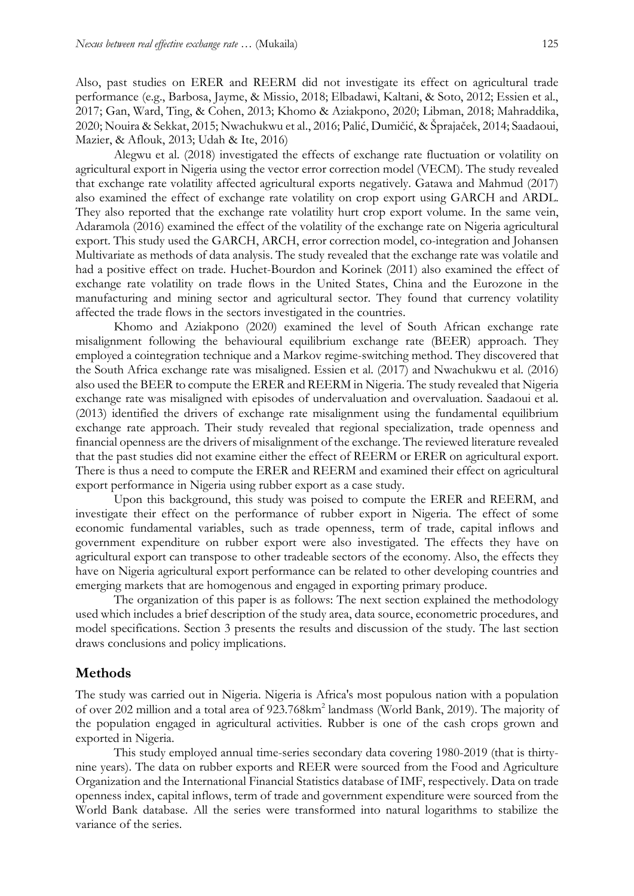Also, past studies on ERER and REERM did not investigate its effect on agricultural trade performance (e.g., Barbosa, Jayme, & Missio, 2018; Elbadawi, Kaltani, & Soto, 2012; Essien et al., 2017; Gan, Ward, Ting, & Cohen, 2013; Khomo & Aziakpono, 2020; Libman, 2018; Mahraddika, 2020; Nouira & Sekkat, 2015; Nwachukwu et al., 2016; Palić, Dumičić, & Šprajaček, 2014; Saadaoui, Mazier, & Aflouk, 2013; Udah & Ite, 2016)

Alegwu et al. (2018) investigated the effects of exchange rate fluctuation or volatility on agricultural export in Nigeria using the vector error correction model (VECM). The study revealed that exchange rate volatility affected agricultural exports negatively. Gatawa and Mahmud (2017) also examined the effect of exchange rate volatility on crop export using GARCH and ARDL. They also reported that the exchange rate volatility hurt crop export volume. In the same vein, Adaramola (2016) examined the effect of the volatility of the exchange rate on Nigeria agricultural export. This study used the GARCH, ARCH, error correction model, co-integration and Johansen Multivariate as methods of data analysis. The study revealed that the exchange rate was volatile and had a positive effect on trade. Huchet-Bourdon and Korinek (2011) also examined the effect of exchange rate volatility on trade flows in the United States, China and the Eurozone in the manufacturing and mining sector and agricultural sector. They found that currency volatility affected the trade flows in the sectors investigated in the countries.

Khomo and Aziakpono (2020) examined the level of South African exchange rate misalignment following the behavioural equilibrium exchange rate (BEER) approach. They employed a cointegration technique and a Markov regime-switching method. They discovered that the South Africa exchange rate was misaligned. Essien et al. (2017) and Nwachukwu et al. (2016) also used the BEER to compute the ERER and REERM in Nigeria. The study revealed that Nigeria exchange rate was misaligned with episodes of undervaluation and overvaluation. Saadaoui et al. (2013) identified the drivers of exchange rate misalignment using the fundamental equilibrium exchange rate approach. Their study revealed that regional specialization, trade openness and financial openness are the drivers of misalignment of the exchange. The reviewed literature revealed that the past studies did not examine either the effect of REERM or ERER on agricultural export. There is thus a need to compute the ERER and REERM and examined their effect on agricultural export performance in Nigeria using rubber export as a case study.

Upon this background, this study was poised to compute the ERER and REERM, and investigate their effect on the performance of rubber export in Nigeria. The effect of some economic fundamental variables, such as trade openness, term of trade, capital inflows and government expenditure on rubber export were also investigated. The effects they have on agricultural export can transpose to other tradeable sectors of the economy. Also, the effects they have on Nigeria agricultural export performance can be related to other developing countries and emerging markets that are homogenous and engaged in exporting primary produce.

The organization of this paper is as follows: The next section explained the methodology used which includes a brief description of the study area, data source, econometric procedures, and model specifications. Section 3 presents the results and discussion of the study. The last section draws conclusions and policy implications.

## Methods

The study was carried out in Nigeria. Nigeria is Africa's most populous nation with a population of over 202 million and a total area of 923.768km<sup>2</sup> landmass (World Bank, 2019). The majority of the population engaged in agricultural activities. Rubber is one of the cash crops grown and exported in Nigeria.

This study employed annual time-series secondary data covering 1980-2019 (that is thirtynine years). The data on rubber exports and REER were sourced from the Food and Agriculture Organization and the International Financial Statistics database of IMF, respectively. Data on trade openness index, capital inflows, term of trade and government expenditure were sourced from the World Bank database. All the series were transformed into natural logarithms to stabilize the variance of the series.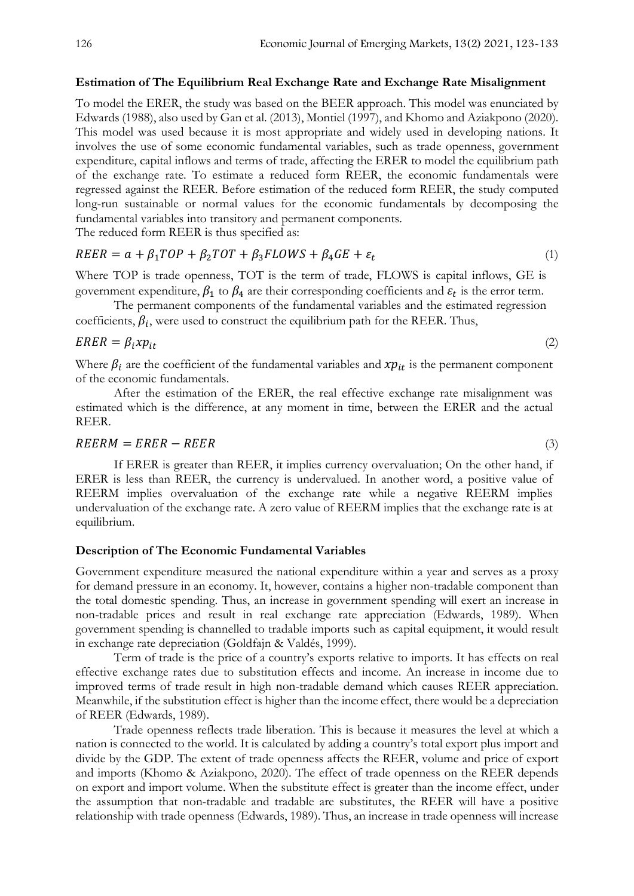#### Estimation of The Equilibrium Real Exchange Rate and Exchange Rate Misalignment

To model the ERER, the study was based on the BEER approach. This model was enunciated by Edwards (1988), also used by Gan et al. (2013), Montiel (1997), and Khomo and Aziakpono (2020). This model was used because it is most appropriate and widely used in developing nations. It involves the use of some economic fundamental variables, such as trade openness, government expenditure, capital inflows and terms of trade, affecting the ERER to model the equilibrium path of the exchange rate. To estimate a reduced form REER, the economic fundamentals were regressed against the REER. Before estimation of the reduced form REER, the study computed long-run sustainable or normal values for the economic fundamentals by decomposing the fundamental variables into transitory and permanent components.

The reduced form REER is thus specified as:

$$
REER = a + \beta_1 TOP + \beta_2TOT + \beta_3 FLOWS + \beta_4 GE + \varepsilon_t
$$
\n(1)

Where TOP is trade openness, TOT is the term of trade, FLOWS is capital inflows, GE is government expenditure,  $\beta_1$  to  $\beta_4$  are their corresponding coefficients and  $\varepsilon_t$  is the error term.

The permanent components of the fundamental variables and the estimated regression coefficients,  $\beta_i$ , were used to construct the equilibrium path for the REER. Thus,

$$
ERER = \beta_i x p_{it} \tag{2}
$$

Where  $\beta_i$  are the coefficient of the fundamental variables and  $xp_{it}$  is the permanent component of the economic fundamentals.

After the estimation of the ERER, the real effective exchange rate misalignment was estimated which is the difference, at any moment in time, between the ERER and the actual REER.

#### $REERM = ERER - REER$  (3)

If ERER is greater than REER, it implies currency overvaluation; On the other hand, if ERER is less than REER, the currency is undervalued. In another word, a positive value of REERM implies overvaluation of the exchange rate while a negative REERM implies undervaluation of the exchange rate. A zero value of REERM implies that the exchange rate is at equilibrium.

## Description of The Economic Fundamental Variables

Government expenditure measured the national expenditure within a year and serves as a proxy for demand pressure in an economy. It, however, contains a higher non-tradable component than the total domestic spending. Thus, an increase in government spending will exert an increase in non-tradable prices and result in real exchange rate appreciation (Edwards, 1989). When government spending is channelled to tradable imports such as capital equipment, it would result in exchange rate depreciation (Goldfajn & Valdés, 1999).

Term of trade is the price of a country's exports relative to imports. It has effects on real effective exchange rates due to substitution effects and income. An increase in income due to improved terms of trade result in high non-tradable demand which causes REER appreciation. Meanwhile, if the substitution effect is higher than the income effect, there would be a depreciation of REER (Edwards, 1989).

Trade openness reflects trade liberation. This is because it measures the level at which a nation is connected to the world. It is calculated by adding a country's total export plus import and divide by the GDP. The extent of trade openness affects the REER, volume and price of export and imports (Khomo & Aziakpono, 2020). The effect of trade openness on the REER depends on export and import volume. When the substitute effect is greater than the income effect, under the assumption that non-tradable and tradable are substitutes, the REER will have a positive relationship with trade openness (Edwards, 1989). Thus, an increase in trade openness will increase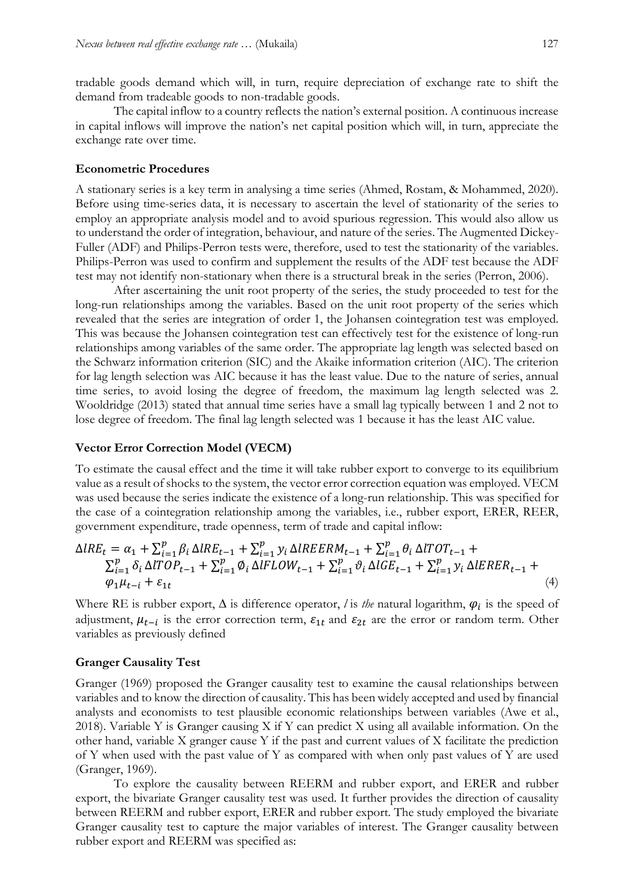tradable goods demand which will, in turn, require depreciation of exchange rate to shift the demand from tradeable goods to non-tradable goods.

The capital inflow to a country reflects the nation's external position. A continuous increase in capital inflows will improve the nation's net capital position which will, in turn, appreciate the exchange rate over time.

#### Econometric Procedures

A stationary series is a key term in analysing a time series (Ahmed, Rostam, & Mohammed, 2020). Before using time-series data, it is necessary to ascertain the level of stationarity of the series to employ an appropriate analysis model and to avoid spurious regression. This would also allow us to understand the order of integration, behaviour, and nature of the series. The Augmented Dickey-Fuller (ADF) and Philips-Perron tests were, therefore, used to test the stationarity of the variables. Philips-Perron was used to confirm and supplement the results of the ADF test because the ADF test may not identify non-stationary when there is a structural break in the series (Perron, 2006).

After ascertaining the unit root property of the series, the study proceeded to test for the long-run relationships among the variables. Based on the unit root property of the series which revealed that the series are integration of order 1, the Johansen cointegration test was employed. This was because the Johansen cointegration test can effectively test for the existence of long-run relationships among variables of the same order. The appropriate lag length was selected based on the Schwarz information criterion (SIC) and the Akaike information criterion (AIC). The criterion for lag length selection was AIC because it has the least value. Due to the nature of series, annual time series, to avoid losing the degree of freedom, the maximum lag length selected was 2. Wooldridge (2013) stated that annual time series have a small lag typically between 1 and 2 not to lose degree of freedom. The final lag length selected was 1 because it has the least AIC value.

#### Vector Error Correction Model (VECM)

To estimate the causal effect and the time it will take rubber export to converge to its equilibrium value as a result of shocks to the system, the vector error correction equation was employed. VECM was used because the series indicate the existence of a long-run relationship. This was specified for the case of a cointegration relationship among the variables, i.e., rubber export, ERER, REER, government expenditure, trade openness, term of trade and capital inflow:

$$
\Delta IRE_{t} = \alpha_{1} + \sum_{i=1}^{p} \beta_{i} \Delta IRE_{t-1} + \sum_{i=1}^{p} y_{i} \Delta IREERM_{t-1} + \sum_{i=1}^{p} \theta_{i} \Delta ITOT_{t-1} + \sum_{i=1}^{p} \delta_{i} \Delta ITOP_{t-1} + \sum_{i=1}^{p} \phi_{i} \Delta IFLOW_{t-1} + \sum_{i=1}^{p} \vartheta_{i} \Delta IGE_{t-1} + \sum_{i=1}^{p} y_{i} \Delta IERER_{t-1} + \varphi_{1} \mu_{t-i} + \varepsilon_{1t}
$$
\n(4)

Where RE is rubber export,  $\Delta$  is difference operator, *l* is *the* natural logarithm,  $\varphi_i$  is the speed of adjustment,  $\mu_{t-i}$  is the error correction term,  $\varepsilon_{1t}$  and  $\varepsilon_{2t}$  are the error or random term. Other variables as previously defined

#### Granger Causality Test

Granger (1969) proposed the Granger causality test to examine the causal relationships between variables and to know the direction of causality. This has been widely accepted and used by financial analysts and economists to test plausible economic relationships between variables (Awe et al., 2018). Variable Y is Granger causing X if Y can predict X using all available information. On the other hand, variable X granger cause Y if the past and current values of X facilitate the prediction of Y when used with the past value of Y as compared with when only past values of Y are used (Granger, 1969).

To explore the causality between REERM and rubber export, and ERER and rubber export, the bivariate Granger causality test was used. It further provides the direction of causality between REERM and rubber export, ERER and rubber export. The study employed the bivariate Granger causality test to capture the major variables of interest. The Granger causality between rubber export and REERM was specified as: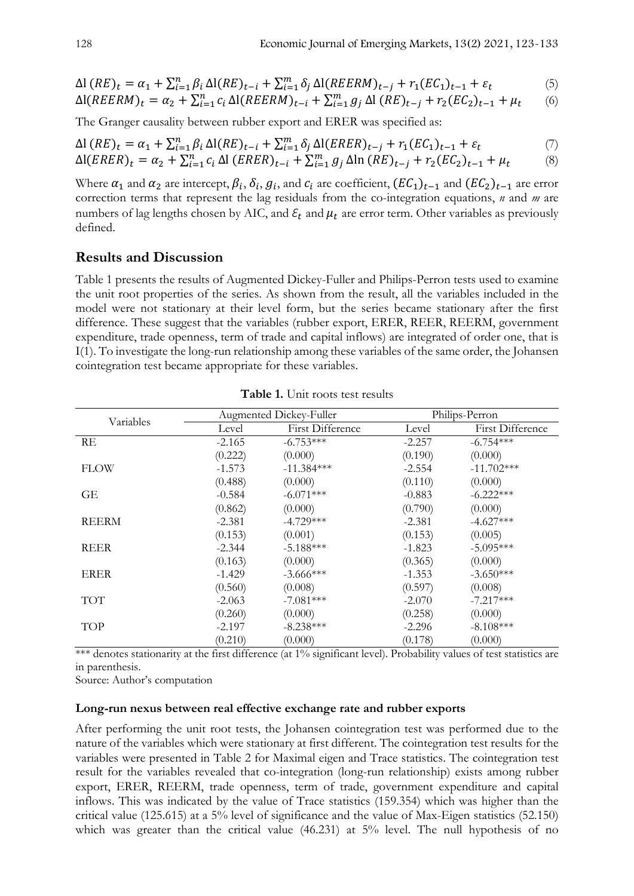$$
\Delta l \left(RE\right)_t = \alpha_1 + \sum_{i=1}^n \beta_i \Delta l (RE)_{t-i} + \sum_{i=1}^m \delta_j \Delta l (REERM)_{t-j} + r_1 (EC_1)_{t-1} + \varepsilon_t \tag{5}
$$

$$
\Delta I(REERM)_{t} = \alpha_{2} + \sum_{i=1}^{n} c_{i} \Delta I(REERM)_{t-i} + \sum_{i=1}^{m} g_{j} \Delta I (RE)_{t-j} + r_{2}(EC_{2})_{t-1} + \mu_{t}
$$
 (6)

The Granger causality between rubber export and ERER was specified as:

$$
\Delta l \left(RE\right)_t = \alpha_1 + \sum_{i=1}^n \beta_i \Delta l (RE)_{t-i} + \sum_{i=1}^m \delta_j \Delta l (ERER)_{t-j} + r_1 (EC_1)_{t-1} + \varepsilon_t \tag{7}
$$

$$
\Delta I(ERER)_t = \alpha_2 + \sum_{i=1}^n c_i \Delta I(ERER)_{t-i} + \sum_{i=1}^m g_j \Delta I_n (RE)_{t-j} + r_2 (EC_2)_{t-1} + \mu_t \tag{8}
$$

Where  $\alpha_1$  and  $\alpha_2$  are intercept,  $\beta_i,$   $\delta_i,$   $g_i,$  and  $c_i$  are coefficient,  $(EC_1)_{t-1}$  and  $(EC_2)_{t-1}$  are error correction terms that represent the lag residuals from the co-integration equations, *n* and *m* are numbers of lag lengths chosen by AIC, and  $\varepsilon_t$  and  $\mu_t$  are error term. Other variables as previously defined.

## Results and Discussion

Table 1 presents the results of Augmented Dickey-Fuller and Philips-Perron tests used to examine the unit root properties of the series. As shown from the result, all the variables included in the model were not stationary at their level form, but the series became stationary after the first difference. These suggest that the variables (rubber export, ERER, REER, REERM, government expenditure, trade openness, term of trade and capital inflows) are integrated of order one, that is I(1). To investigate the long-run relationship among these variables of the same order, the Johansen cointegration test became appropriate for these variables.

| Variables    | Augmented Dickey-Fuller |                  | Philips-Perron |                         |
|--------------|-------------------------|------------------|----------------|-------------------------|
|              | Level                   | First Difference | Level          | <b>First Difference</b> |
| RE           | $-2.165$                | $-6.753***$      | $-2.257$       | $-6.754***$             |
|              | (0.222)                 | (0.000)          | (0.190)        | (0.000)                 |
| <b>FLOW</b>  | $-1.573$                | $-11.384***$     | $-2.554$       | $-11.702***$            |
|              | (0.488)                 | (0.000)          | (0.110)        | (0.000)                 |
| GЕ           | $-0.584$                | $-6.071***$      | $-0.883$       | $-6.222***$             |
|              | (0.862)                 | (0.000)          | (0.790)        | (0.000)                 |
| <b>REERM</b> | $-2.381$                | $-4.729***$      | $-2.381$       | $-4.627***$             |
|              | (0.153)                 | (0.001)          | (0.153)        | (0.005)                 |
| <b>REER</b>  | $-2.344$                | $-5.188***$      | $-1.823$       | $-5.095***$             |
|              | (0.163)                 | (0.000)          | (0.365)        | (0.000)                 |
| <b>ERER</b>  | $-1.429$                | $-3.666$ ***     | $-1.353$       | $-3.650***$             |
|              | (0.560)                 | (0.008)          | (0.597)        | (0.008)                 |
| TOT          | $-2.063$                | $-7.081***$      | $-2.070$       | $-7.217***$             |
|              | (0.260)                 | (0.000)          | (0.258)        | (0.000)                 |
| TOP          | $-2.197$                | $-8.238***$      | $-2.296$       | $-8.108***$             |
|              | (0.210)                 | (0.000)          | (0.178)        | (0.000)                 |

Table 1. Unit roots test results

\*\*\* denotes stationarity at the first difference (at 1% significant level). Probability values of test statistics are in parenthesis.

Source: Author's computation

#### Long-run nexus between real effective exchange rate and rubber exports

After performing the unit root tests, the Johansen cointegration test was performed due to the nature of the variables which were stationary at first different. The cointegration test results for the variables were presented in Table 2 for Maximal eigen and Trace statistics. The cointegration test result for the variables revealed that co-integration (long-run relationship) exists among rubber export, ERER, REERM, trade openness, term of trade, government expenditure and capital inflows. This was indicated by the value of Trace statistics (159.354) which was higher than the critical value (125.615) at a 5% level of significance and the value of Max-Eigen statistics (52.150) which was greater than the critical value (46.231) at 5% level. The null hypothesis of no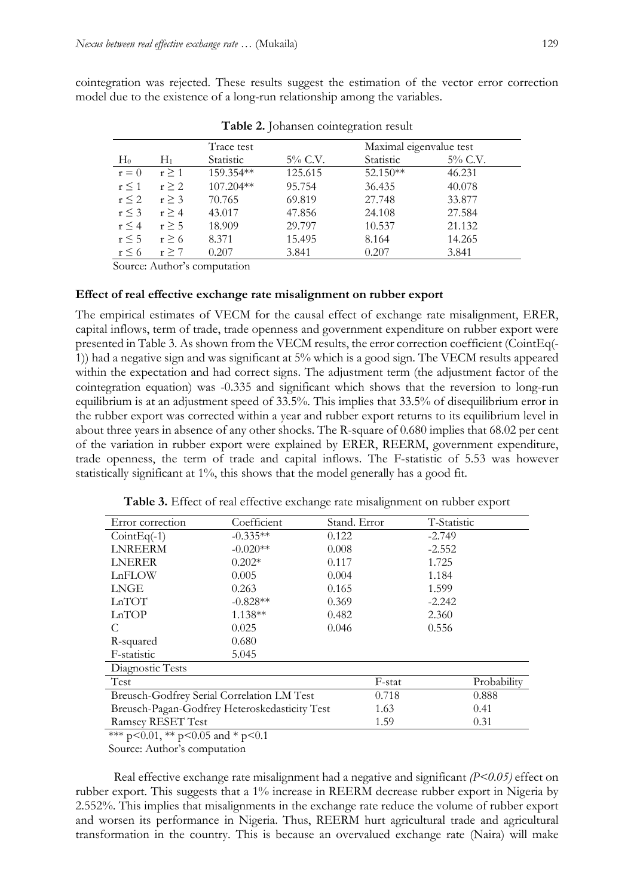cointegration was rejected. These results suggest the estimation of the vector error correction model due to the existence of a long-run relationship among the variables.

| Trace test |            |           | Maximal eigenvalue test |           |         |
|------------|------------|-----------|-------------------------|-----------|---------|
| $H_0$      | H1         | Statistic | 5% C.V.                 | Statistic | 5% C.V. |
| $r = 0$    | $r \geq 1$ | 159.354** | 125.615                 | 52.150**  | 46.231  |
| $r \leq 1$ | $r \geq 2$ | 107.204** | 95.754                  | 36.435    | 40.078  |
| $r \leq 2$ | r > 3      | 70.765    | 69.819                  | 27.748    | 33.877  |
| $r \leq 3$ | r > 4      | 43.017    | 47.856                  | 24.108    | 27.584  |
| $r \leq 4$ | $r \geq 5$ | 18.909    | 29.797                  | 10.537    | 21.132  |
| $r \leq 5$ | $r \geq 6$ | 8.371     | 15.495                  | 8.164     | 14.265  |
| $r \leq 6$ | $r \geq 7$ | 0.207     | 3.841                   | 0.207     | 3.841   |

Table 2. Johansen cointegration result

Source: Author's computation

#### Effect of real effective exchange rate misalignment on rubber export

The empirical estimates of VECM for the causal effect of exchange rate misalignment, ERER, capital inflows, term of trade, trade openness and government expenditure on rubber export were presented in Table 3. As shown from the VECM results, the error correction coefficient (CointEq(- 1)) had a negative sign and was significant at 5% which is a good sign. The VECM results appeared within the expectation and had correct signs. The adjustment term (the adjustment factor of the cointegration equation) was -0.335 and significant which shows that the reversion to long-run equilibrium is at an adjustment speed of 33.5%. This implies that 33.5% of disequilibrium error in the rubber export was corrected within a year and rubber export returns to its equilibrium level in about three years in absence of any other shocks. The R-square of 0.680 implies that 68.02 per cent of the variation in rubber export were explained by ERER, REERM, government expenditure, trade openness, the term of trade and capital inflows. The F-statistic of 5.53 was however statistically significant at 1%, this shows that the model generally has a good fit.

| Error correction                              | Coefficient | Stand. Error | T-Statistic |             |
|-----------------------------------------------|-------------|--------------|-------------|-------------|
| $CointEq(-1)$                                 | $-0.335**$  | 0.122        | $-2.749$    |             |
| <b>LNREERM</b>                                | $-0.020**$  | 0.008        | $-2.552$    |             |
| <b>LNERER</b>                                 | $0.202*$    | 0.117        | 1.725       |             |
| LnFLOW                                        | 0.005       | 0.004        | 1.184       |             |
| <b>LNGE</b>                                   | 0.263       | 0.165        | 1.599       |             |
| LnTOT                                         | $-0.828**$  | 0.369        | $-2.242$    |             |
| LnTOP                                         | $1.138**$   | 0.482        | 2.360       |             |
| C                                             | 0.025       | 0.046        | 0.556       |             |
| R-squared                                     | 0.680       |              |             |             |
| F-statistic                                   | 5.045       |              |             |             |
| Diagnostic Tests                              |             |              |             |             |
| Test                                          |             | F-stat       |             | Probability |
| Breusch-Godfrey Serial Correlation LM Test    | 0.718       |              | 0.888       |             |
| Breusch-Pagan-Godfrey Heteroskedasticity Test | 1.63        |              | 0.41        |             |
| Ramsey RESET Test                             |             | 1.59         |             | 0.31        |

Table 3. Effect of real effective exchange rate misalignment on rubber export

\*\*\* p<0.01, \*\* p<0.05 and \* p<0.1

Source: Author's computation

Real effective exchange rate misalignment had a negative and significant *(P<0.05)* effect on rubber export. This suggests that a 1% increase in REERM decrease rubber export in Nigeria by 2.552%. This implies that misalignments in the exchange rate reduce the volume of rubber export and worsen its performance in Nigeria. Thus, REERM hurt agricultural trade and agricultural transformation in the country. This is because an overvalued exchange rate (Naira) will make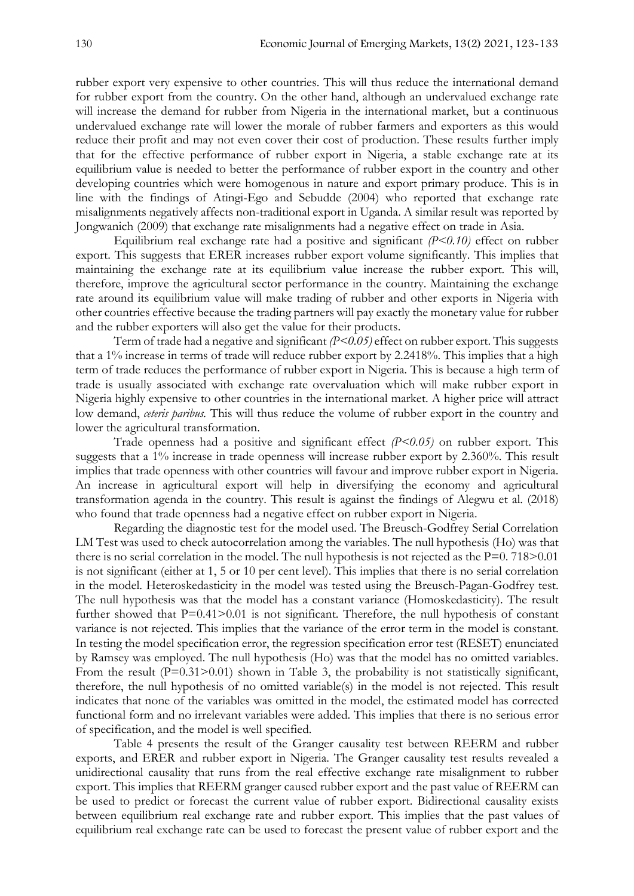rubber export very expensive to other countries. This will thus reduce the international demand for rubber export from the country. On the other hand, although an undervalued exchange rate will increase the demand for rubber from Nigeria in the international market, but a continuous undervalued exchange rate will lower the morale of rubber farmers and exporters as this would reduce their profit and may not even cover their cost of production. These results further imply that for the effective performance of rubber export in Nigeria, a stable exchange rate at its equilibrium value is needed to better the performance of rubber export in the country and other developing countries which were homogenous in nature and export primary produce. This is in line with the findings of Atingi-Ego and Sebudde (2004) who reported that exchange rate misalignments negatively affects non-traditional export in Uganda. A similar result was reported by Jongwanich (2009) that exchange rate misalignments had a negative effect on trade in Asia.

Equilibrium real exchange rate had a positive and significant *(P<0.10)* effect on rubber export. This suggests that ERER increases rubber export volume significantly. This implies that maintaining the exchange rate at its equilibrium value increase the rubber export. This will, therefore, improve the agricultural sector performance in the country. Maintaining the exchange rate around its equilibrium value will make trading of rubber and other exports in Nigeria with other countries effective because the trading partners will pay exactly the monetary value for rubber and the rubber exporters will also get the value for their products.

Term of trade had a negative and significant *(P<0.05)* effect on rubber export. This suggests that a 1% increase in terms of trade will reduce rubber export by 2.2418%. This implies that a high term of trade reduces the performance of rubber export in Nigeria. This is because a high term of trade is usually associated with exchange rate overvaluation which will make rubber export in Nigeria highly expensive to other countries in the international market. A higher price will attract low demand, *ceteris paribus.* This will thus reduce the volume of rubber export in the country and lower the agricultural transformation.

Trade openness had a positive and significant effect *(P<0.05)* on rubber export. This suggests that a 1% increase in trade openness will increase rubber export by 2.360%. This result implies that trade openness with other countries will favour and improve rubber export in Nigeria. An increase in agricultural export will help in diversifying the economy and agricultural transformation agenda in the country. This result is against the findings of Alegwu et al. (2018) who found that trade openness had a negative effect on rubber export in Nigeria.

Regarding the diagnostic test for the model used. The Breusch-Godfrey Serial Correlation LM Test was used to check autocorrelation among the variables. The null hypothesis (Ho) was that there is no serial correlation in the model. The null hypothesis is not rejected as the  $P=0.718>0.01$ is not significant (either at 1, 5 or 10 per cent level). This implies that there is no serial correlation in the model. Heteroskedasticity in the model was tested using the Breusch-Pagan-Godfrey test. The null hypothesis was that the model has a constant variance (Homoskedasticity). The result further showed that  $P=0.41>0.01$  is not significant. Therefore, the null hypothesis of constant variance is not rejected. This implies that the variance of the error term in the model is constant. In testing the model specification error, the regression specification error test (RESET) enunciated by Ramsey was employed. The null hypothesis (Ho) was that the model has no omitted variables. From the result  $(P=0.31>0.01)$  shown in Table 3, the probability is not statistically significant, therefore, the null hypothesis of no omitted variable(s) in the model is not rejected. This result indicates that none of the variables was omitted in the model, the estimated model has corrected functional form and no irrelevant variables were added. This implies that there is no serious error of specification, and the model is well specified.

Table 4 presents the result of the Granger causality test between REERM and rubber exports, and ERER and rubber export in Nigeria. The Granger causality test results revealed a unidirectional causality that runs from the real effective exchange rate misalignment to rubber export. This implies that REERM granger caused rubber export and the past value of REERM can be used to predict or forecast the current value of rubber export. Bidirectional causality exists between equilibrium real exchange rate and rubber export. This implies that the past values of equilibrium real exchange rate can be used to forecast the present value of rubber export and the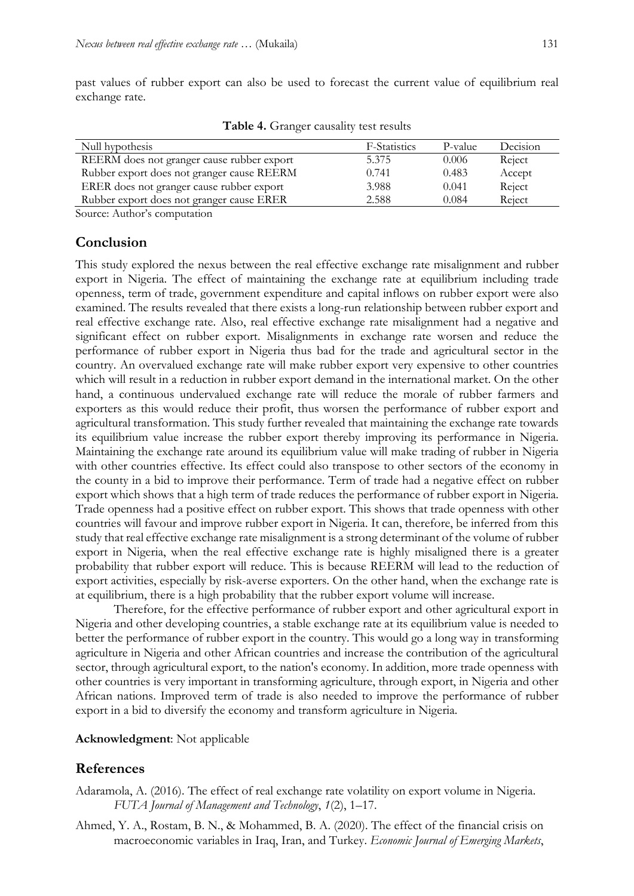past values of rubber export can also be used to forecast the current value of equilibrium real exchange rate.

| Null hypothesis                            | F-Statistics | P-value | Decision |
|--------------------------------------------|--------------|---------|----------|
| REERM does not granger cause rubber export | 5.375        | 0.006   | Reject   |
| Rubber export does not granger cause REERM | 0.741        | 0.483   | Accept   |
| ERER does not granger cause rubber export  | 3.988        | 0.041   | Reject   |
| Rubber export does not granger cause ERER  | 2.588        | 0.084   | Reject   |
| Source: Author's computation               |              |         |          |

Table 4. Granger causality test results

Conclusion

This study explored the nexus between the real effective exchange rate misalignment and rubber export in Nigeria. The effect of maintaining the exchange rate at equilibrium including trade openness, term of trade, government expenditure and capital inflows on rubber export were also examined. The results revealed that there exists a long-run relationship between rubber export and real effective exchange rate. Also, real effective exchange rate misalignment had a negative and significant effect on rubber export. Misalignments in exchange rate worsen and reduce the performance of rubber export in Nigeria thus bad for the trade and agricultural sector in the country. An overvalued exchange rate will make rubber export very expensive to other countries which will result in a reduction in rubber export demand in the international market. On the other hand, a continuous undervalued exchange rate will reduce the morale of rubber farmers and exporters as this would reduce their profit, thus worsen the performance of rubber export and agricultural transformation. This study further revealed that maintaining the exchange rate towards its equilibrium value increase the rubber export thereby improving its performance in Nigeria. Maintaining the exchange rate around its equilibrium value will make trading of rubber in Nigeria with other countries effective. Its effect could also transpose to other sectors of the economy in the county in a bid to improve their performance. Term of trade had a negative effect on rubber export which shows that a high term of trade reduces the performance of rubber export in Nigeria. Trade openness had a positive effect on rubber export. This shows that trade openness with other countries will favour and improve rubber export in Nigeria. It can, therefore, be inferred from this study that real effective exchange rate misalignment is a strong determinant of the volume of rubber export in Nigeria, when the real effective exchange rate is highly misaligned there is a greater probability that rubber export will reduce. This is because REERM will lead to the reduction of export activities, especially by risk-averse exporters. On the other hand, when the exchange rate is at equilibrium, there is a high probability that the rubber export volume will increase.

Therefore, for the effective performance of rubber export and other agricultural export in Nigeria and other developing countries, a stable exchange rate at its equilibrium value is needed to better the performance of rubber export in the country. This would go a long way in transforming agriculture in Nigeria and other African countries and increase the contribution of the agricultural sector, through agricultural export, to the nation's economy. In addition, more trade openness with other countries is very important in transforming agriculture, through export, in Nigeria and other African nations. Improved term of trade is also needed to improve the performance of rubber export in a bid to diversify the economy and transform agriculture in Nigeria.

## Acknowledgment: Not applicable

## References

- Adaramola, A. (2016). The effect of real exchange rate volatility on export volume in Nigeria. *FUTA Journal of Management and Technology*, *1*(2), 1–17.
- Ahmed, Y. A., Rostam, B. N., & Mohammed, B. A. (2020). The effect of the financial crisis on macroeconomic variables in Iraq, Iran, and Turkey. *Economic Journal of Emerging Markets*,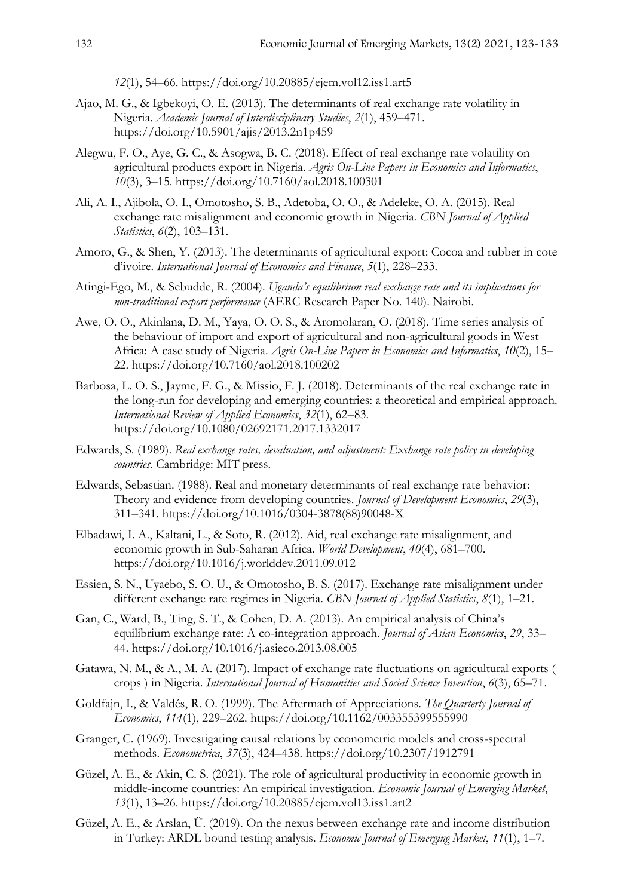*12*(1), 54–66. https://doi.org/10.20885/ejem.vol12.iss1.art5

- Ajao, M. G., & Igbekoyi, O. E. (2013). The determinants of real exchange rate volatility in Nigeria. *Academic Journal of Interdisciplinary Studies*, *2*(1), 459–471. https://doi.org/10.5901/ajis/2013.2n1p459
- Alegwu, F. O., Aye, G. C., & Asogwa, B. C. (2018). Effect of real exchange rate volatility on agricultural products export in Nigeria. *Agris On-Line Papers in Economics and Informatics*, *10*(3), 3–15. https://doi.org/10.7160/aol.2018.100301
- Ali, A. I., Ajibola, O. I., Omotosho, S. B., Adetoba, O. O., & Adeleke, O. A. (2015). Real exchange rate misalignment and economic growth in Nigeria. *CBN Journal of Applied Statistics*, *6*(2), 103–131.
- Amoro, G., & Shen, Y. (2013). The determinants of agricultural export: Cocoa and rubber in cote d'ivoire. *International Journal of Economics and Finance*, *5*(1), 228–233.
- Atingi-Ego, M., & Sebudde, R. (2004). *Uganda's equilibrium real exchange rate and its implications for non-traditional export performance* (AERC Research Paper No. 140). Nairobi.
- Awe, O. O., Akinlana, D. M., Yaya, O. O. S., & Aromolaran, O. (2018). Time series analysis of the behaviour of import and export of agricultural and non-agricultural goods in West Africa: A case study of Nigeria. *Agris On-Line Papers in Economics and Informatics*, *10*(2), 15– 22. https://doi.org/10.7160/aol.2018.100202
- Barbosa, L. O. S., Jayme, F. G., & Missio, F. J. (2018). Determinants of the real exchange rate in the long-run for developing and emerging countries: a theoretical and empirical approach. *International Review of Applied Economics*, *32*(1), 62–83. https://doi.org/10.1080/02692171.2017.1332017
- Edwards, S. (1989). *Real exchange rates, devaluation, and adjustment: Exchange rate policy in developing countries.* Cambridge: MIT press.
- Edwards, Sebastian. (1988). Real and monetary determinants of real exchange rate behavior: Theory and evidence from developing countries. *Journal of Development Economics*, *29*(3), 311–341. https://doi.org/10.1016/0304-3878(88)90048-X
- Elbadawi, I. A., Kaltani, L., & Soto, R. (2012). Aid, real exchange rate misalignment, and economic growth in Sub-Saharan Africa. *World Development*, *40*(4), 681–700. https://doi.org/10.1016/j.worlddev.2011.09.012
- Essien, S. N., Uyaebo, S. O. U., & Omotosho, B. S. (2017). Exchange rate misalignment under different exchange rate regimes in Nigeria. *CBN Journal of Applied Statistics*, *8*(1), 1–21.
- Gan, C., Ward, B., Ting, S. T., & Cohen, D. A. (2013). An empirical analysis of China's equilibrium exchange rate: A co-integration approach. *Journal of Asian Economics*, *29*, 33– 44. https://doi.org/10.1016/j.asieco.2013.08.005
- Gatawa, N. M., & A., M. A. (2017). Impact of exchange rate fluctuations on agricultural exports ( crops ) in Nigeria. *International Journal of Humanities and Social Science Invention*, *6*(3), 65–71.
- Goldfajn, I., & Valdés, R. O. (1999). The Aftermath of Appreciations. *The Quarterly Journal of Economics*, *114*(1), 229–262. https://doi.org/10.1162/003355399555990
- Granger, C. (1969). Investigating causal relations by econometric models and cross-spectral methods. *Econometrica*, *37*(3), 424–438. https://doi.org/10.2307/1912791
- Güzel, A. E., & Akin, C. S. (2021). The role of agricultural productivity in economic growth in middle-income countries: An empirical investigation. *Economic Journal of Emerging Market*, *13*(1), 13–26. https://doi.org/10.20885/ejem.vol13.iss1.art2
- Güzel, A. E., & Arslan, Ü. (2019). On the nexus between exchange rate and income distribution in Turkey: ARDL bound testing analysis. *Economic Journal of Emerging Market*, *11*(1), 1–7.